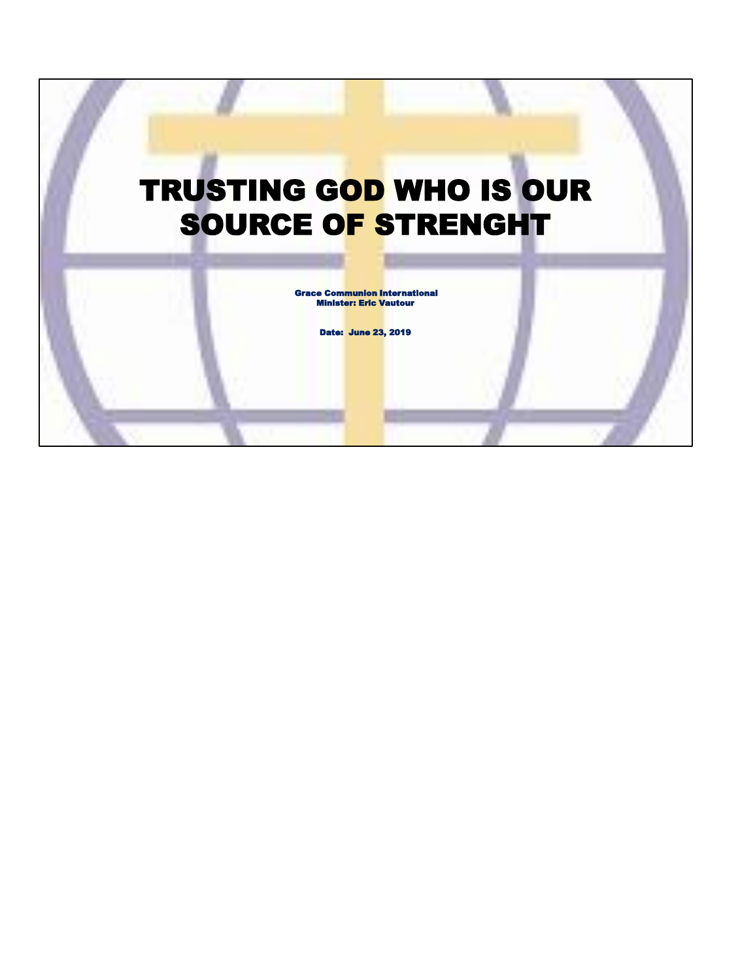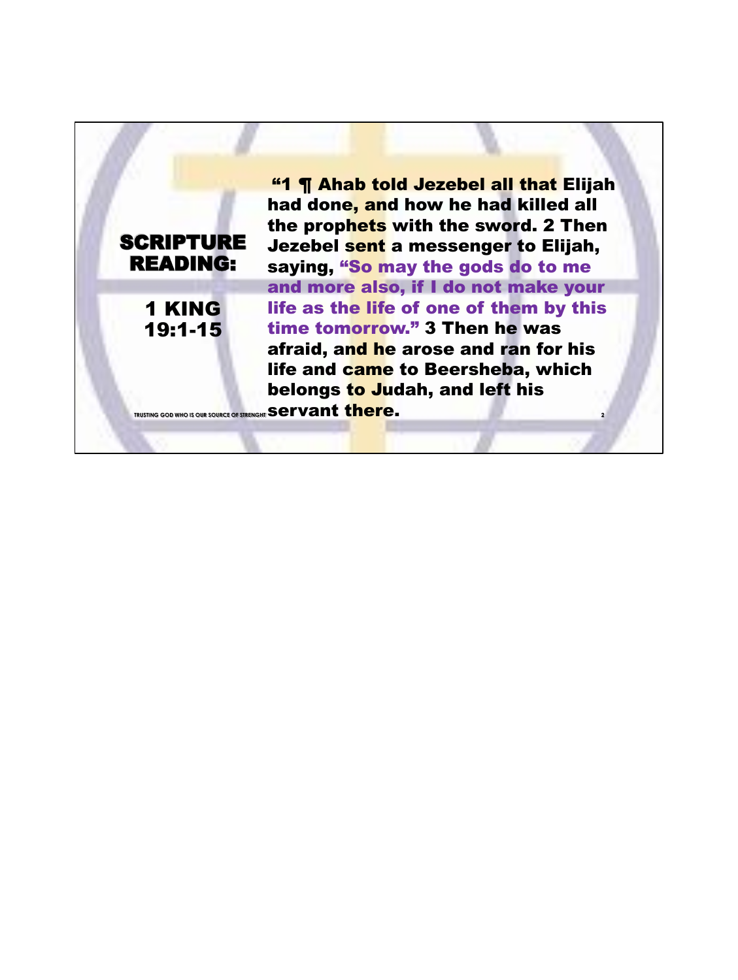**SCRIPTURE** READING:

1 KING 19:1-15

**2** "1 ¶ Ahab told Jezebel all that Elijah had done, and how he had killed all the prophets with the sword. 2 Then Jezebel sent a messenger to Elijah, saying, "So may the gods do to me and more also, if I do not make your life as the life of one of them by this time tomorrow." 3 Then he was afraid, and he arose and ran for his life and came to Beersheba, which belongs to Judah, and left his TRUSTING GOD WHO IS OUR SOURCE OF STRENGHT **Servant** there.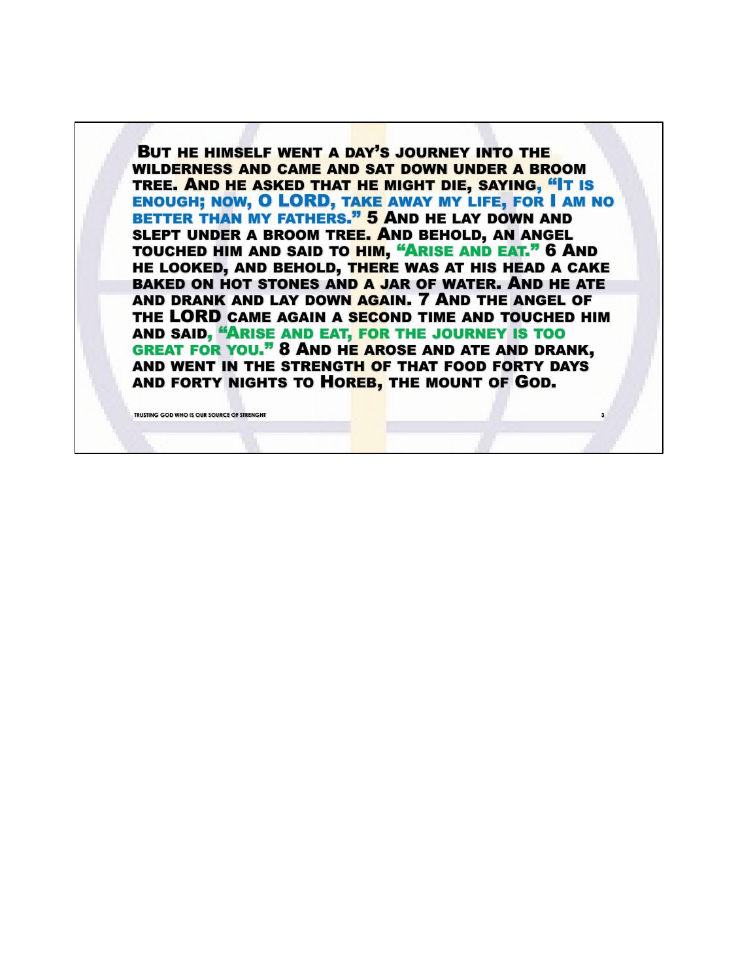BUT HE HIMSELF WENT A DAY'S JOURNEY INTO THE WILDERNESS AND CAME AND SAT DOWN UNDER A BROOM TREE. AND HE ASKED THAT HE MIGHT DIE, SAYING, "IT IS ENOUGH; NOW, O LORD, TAKE AWAY MY LIFE, FOR I AM NO BETTER THAN MY FATHERS." 5 AND HE LAY DOWN AND SLEPT UNDER A BROOM TREE. AND BEHOLD, AN ANGEL TOUCHED HIM AND SAID TO HIM, "ARISE AND EAT." 6 AND HE LOOKED, AND BEHOLD, THERE WAS AT HIS HEAD A CAKE BAKED ON HOT STONES AND A JAR OF WATER. AND HE ATE AND DRANK AND LAY DOWN AGAIN. 7 AND THE ANGEL OF THE LORD CAME AGAIN A SECOND TIME AND TOUCHED HIM AND SAID, "ARISE AND EAT, FOR THE JOURNEY IS TOO GREAT FOR YOU." 8 AND HE AROSE AND ATE AND DRANK, AND WENT IN THE STRENGTH OF THAT FOOD FORTY DAYS AND FORTY NIGHTS TO HOREB, THE MOUNT OF GOD.

**TRUSTING GOD WHO IS OUR SOURCE OF STRENG**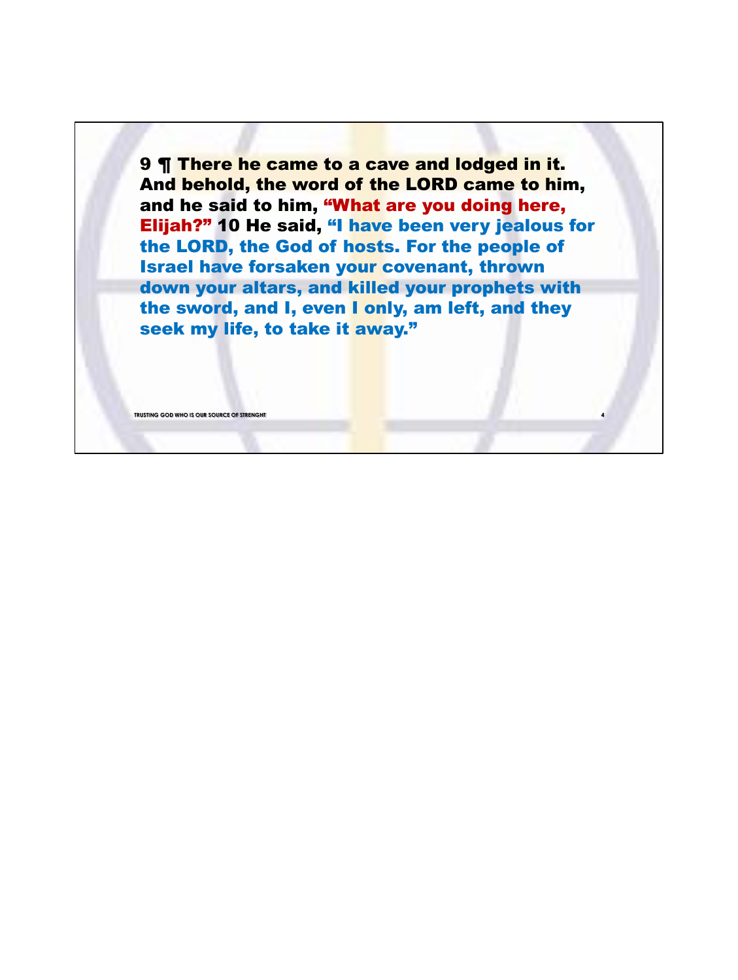9 ¶ There he came to a cave and lodged in it. And behold, the word of the LORD came to him, and he said to him, "What are you doing here, Elijah?" 10 He said, "I have been very jealous for the LORD, the God of hosts. For the people of Israel have forsaken your covenant, thrown down your altars, and killed your prophets with the sword, and I, even I only, am left, and they seek my life, to take it away."

**TRUSTING GOD WHO IS OUR SOURCE OF STRENGHT** 

**4**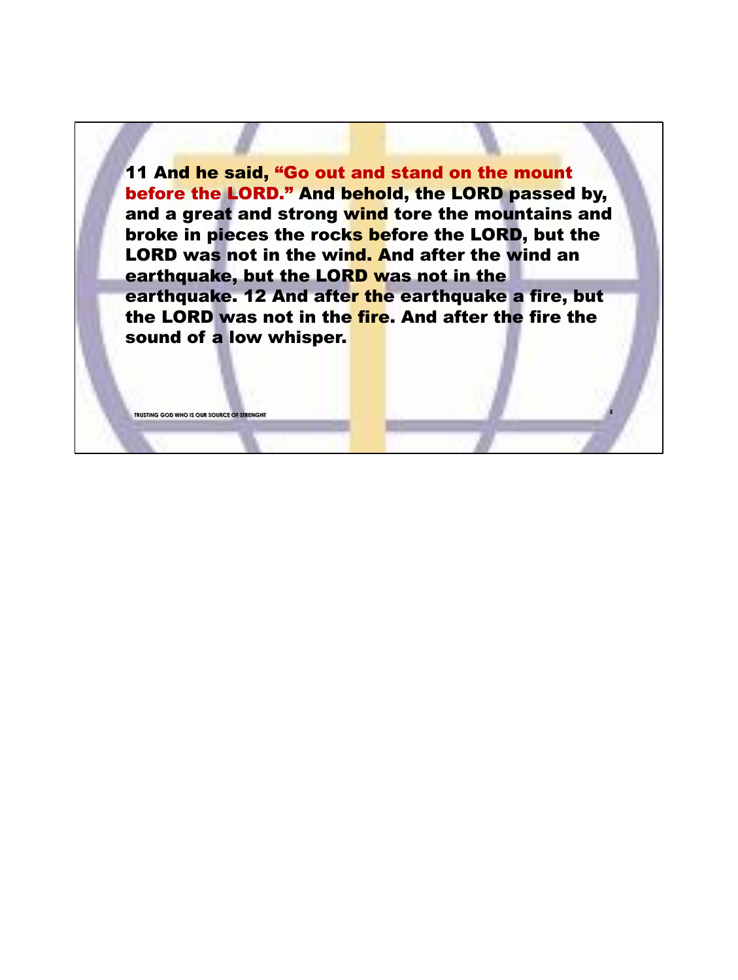11 And he said, "Go out and stand on the mount before the LORD." And behold, the LORD passed by, and a great and strong wind tore the mountains and broke in pieces the rocks before the LORD, but the LORD was not in the wind. And after the wind an earthquake, but the LORD was not in the earthquake. 12 And after the earthquake a fire, but the LORD was not in the fire. And after the fire the sound of a low whisper.

**TRUSTING GOD WHO IS OUR SOURCE OF STRENG** 

**5**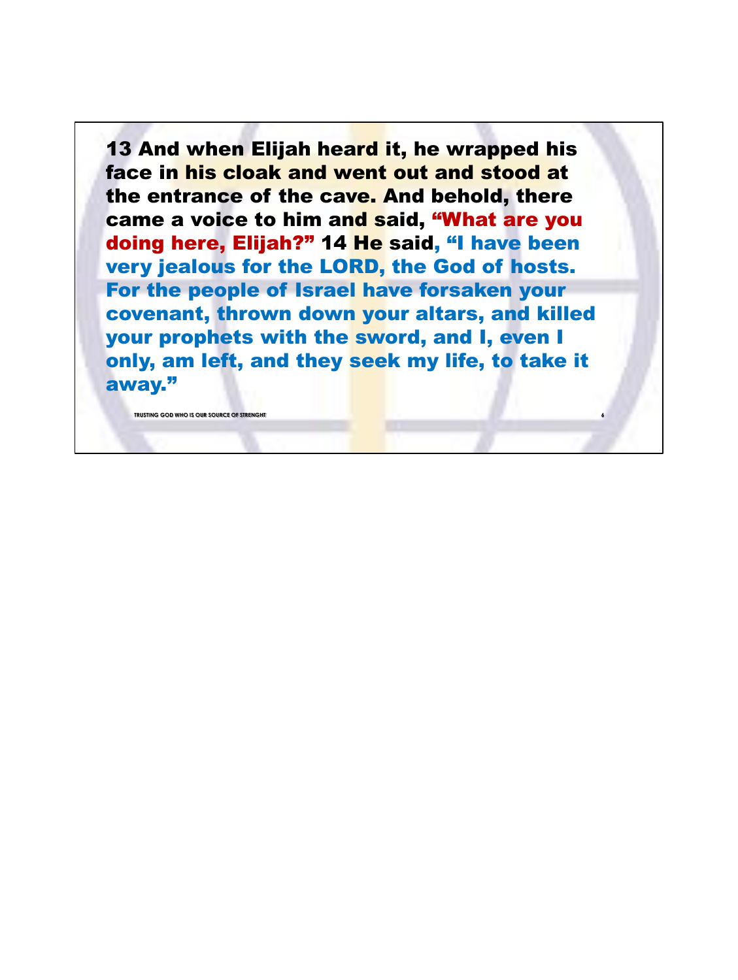13 And when Elijah heard it, he wrapped his face in his cloak and went out and stood at the entrance of the cave. And behold, there came a voice to him and said, "What are you doing here, Elijah?" 14 He said, "I have been very jealous for the LORD, the God of hosts. For the people of Israel have forsaken your covenant, thrown down your altars, and killed your prophets with the sword, and I, even I only, am left, and they seek my life, to take it away."

**6**

**TRUSTING GOD WHO IS OUR SOURCE OF STRENGHT**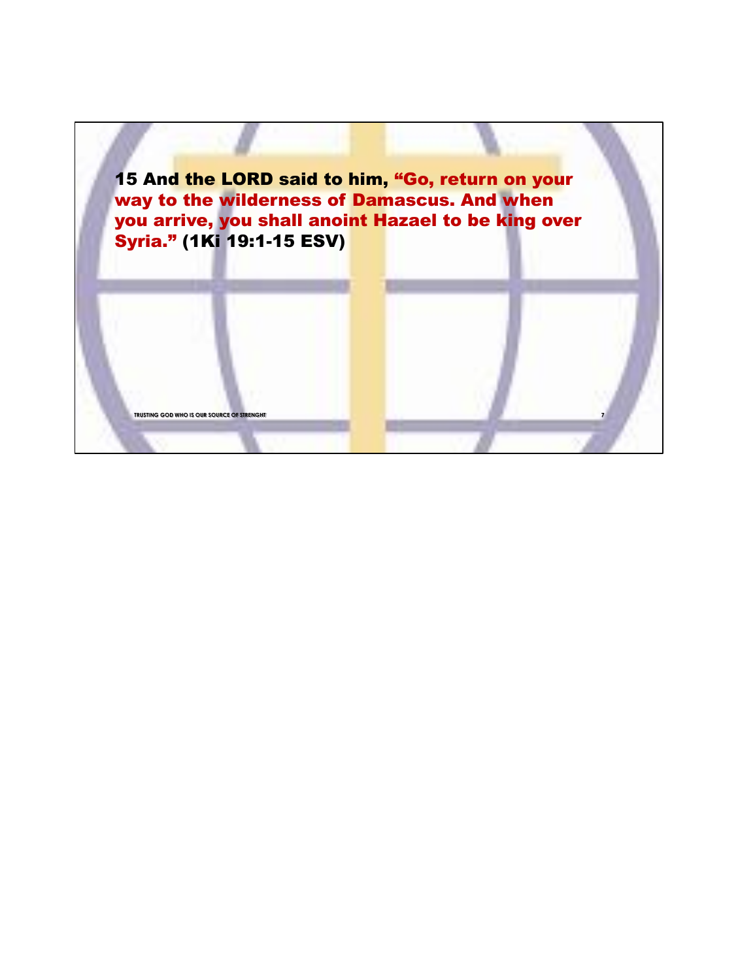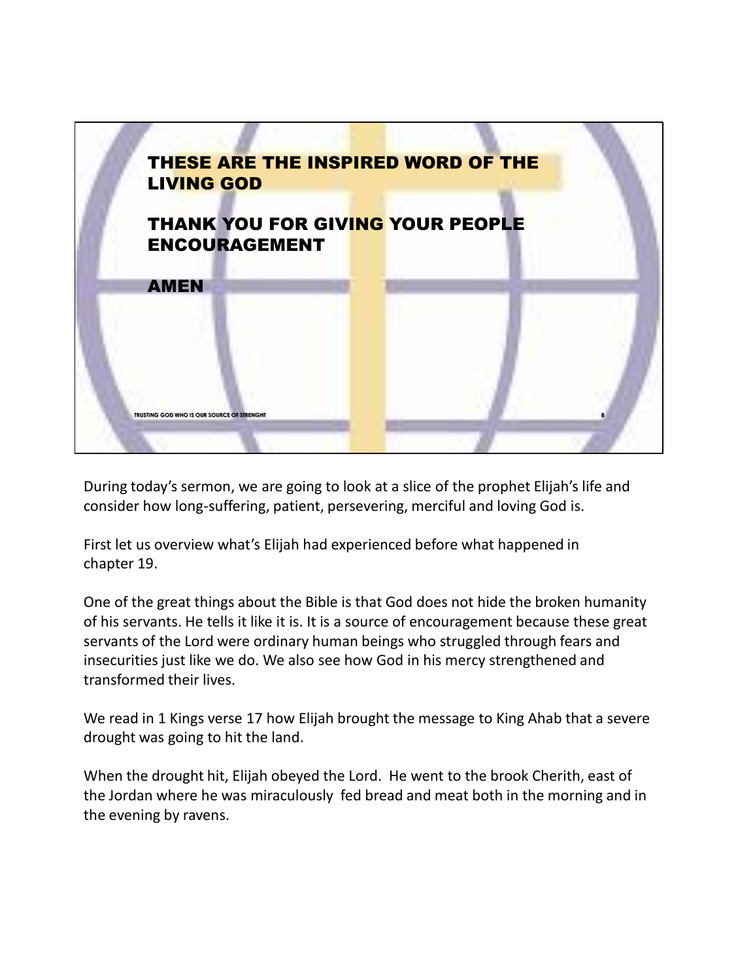

During today's sermon, we are going to look at a slice of the prophet Elijah's life and consider how long-suffering, patient, persevering, merciful and loving God is.

First let us overview what's Elijah had experienced before what happened in chapter 19.

One of the great things about the Bible is that God does not hide the broken humanity of his servants. He tells it like it is. It is a source of encouragement because these great servants of the Lord were ordinary human beings who struggled through fears and insecurities just like we do. We also see how God in his mercy strengthened and transformed their lives.

We read in 1 Kings verse 17 how Elijah brought the message to King Ahab that a severe drought was going to hit the land.

When the drought hit, Elijah obeyed the Lord. He went to the brook Cherith, east of the Jordan where he was miraculously fed bread and meat both in the morning and in the evening by ravens.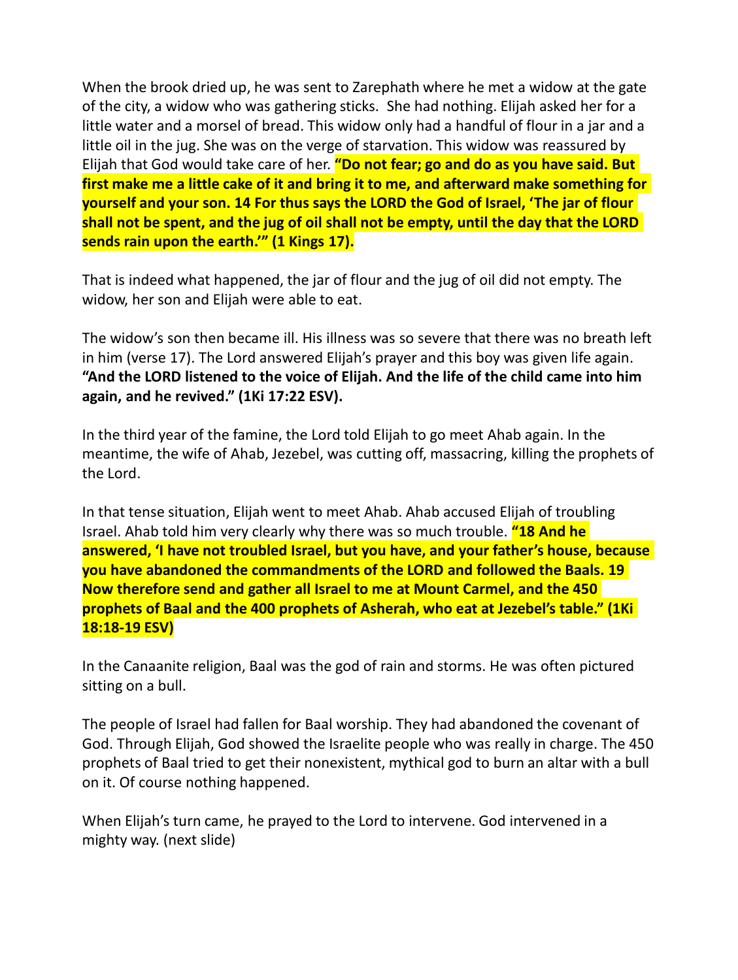When the brook dried up, he was sent to Zarephath where he met a widow at the gate of the city, a widow who was gathering sticks. She had nothing. Elijah asked her for a little water and a morsel of bread. This widow only had a handful of flour in a jar and a little oil in the jug. She was on the verge of starvation. This widow was reassured by Elijah that God would take care of her. **"Do not fear; go and do as you have said. But first make me a little cake of it and bring it to me, and afterward make something for yourself and your son. 14 For thus says the LORD the God of Israel, 'The jar of flour shall not be spent, and the jug of oil shall not be empty, until the day that the LORD sends rain upon the earth.'" (1 Kings 17).**

That is indeed what happened, the jar of flour and the jug of oil did not empty. The widow, her son and Elijah were able to eat.

The widow's son then became ill. His illness was so severe that there was no breath left in him (verse 17). The Lord answered Elijah's prayer and this boy was given life again. **"And the LORD listened to the voice of Elijah. And the life of the child came into him again, and he revived." (1Ki 17:22 ESV).**

In the third year of the famine, the Lord told Elijah to go meet Ahab again. In the meantime, the wife of Ahab, Jezebel, was cutting off, massacring, killing the prophets of the Lord.

In that tense situation, Elijah went to meet Ahab. Ahab accused Elijah of troubling Israel. Ahab told him very clearly why there was so much trouble. **"18 And he answered, 'I have not troubled Israel, but you have, and your father's house, because you have abandoned the commandments of the LORD and followed the Baals. 19 Now therefore send and gather all Israel to me at Mount Carmel, and the 450 prophets of Baal and the 400 prophets of Asherah, who eat at Jezebel's table." (1Ki 18:18-19 ESV)**

In the Canaanite religion, Baal was the god of rain and storms. He was often pictured sitting on a bull.

The people of Israel had fallen for Baal worship. They had abandoned the covenant of God. Through Elijah, God showed the Israelite people who was really in charge. The 450 prophets of Baal tried to get their nonexistent, mythical god to burn an altar with a bull on it. Of course nothing happened.

When Elijah's turn came, he prayed to the Lord to intervene. God intervened in a mighty way. (next slide)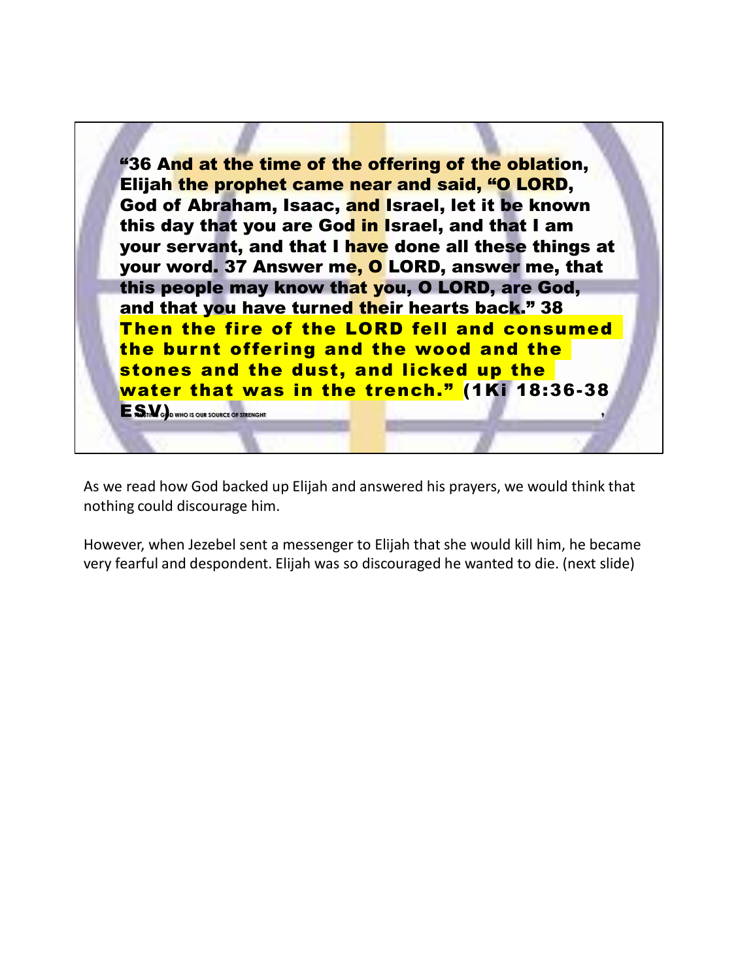

As we read how God backed up Elijah and answered his prayers, we would think that nothing could discourage him.

However, when Jezebel sent a messenger to Elijah that she would kill him, he became very fearful and despondent. Elijah was so discouraged he wanted to die. (next slide)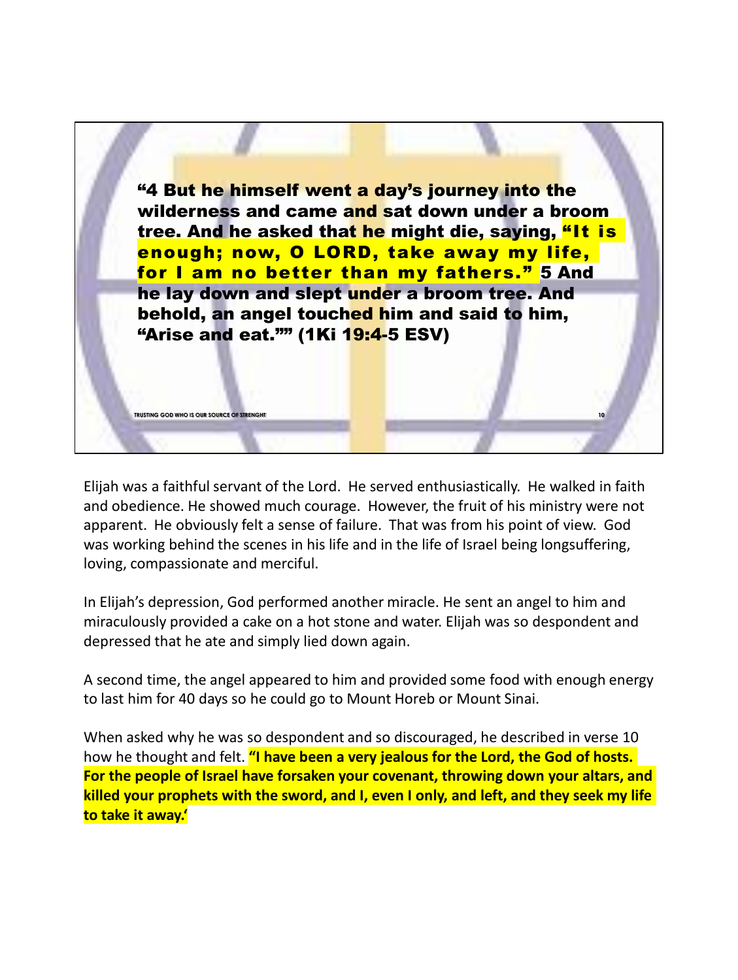

Elijah was a faithful servant of the Lord. He served enthusiastically. He walked in faith and obedience. He showed much courage. However, the fruit of his ministry were not apparent. He obviously felt a sense of failure. That was from his point of view. God was working behind the scenes in his life and in the life of Israel being longsuffering, loving, compassionate and merciful.

In Elijah's depression, God performed another miracle. He sent an angel to him and miraculously provided a cake on a hot stone and water. Elijah was so despondent and depressed that he ate and simply lied down again.

A second time, the angel appeared to him and provided some food with enough energy to last him for 40 days so he could go to Mount Horeb or Mount Sinai.

When asked why he was so despondent and so discouraged, he described in verse 10 how he thought and felt. **"I have been a very jealous for the Lord, the God of hosts. For the people of Israel have forsaken your covenant, throwing down your altars, and killed your prophets with the sword, and I, even I only, and left, and they seek my life to take it away.'**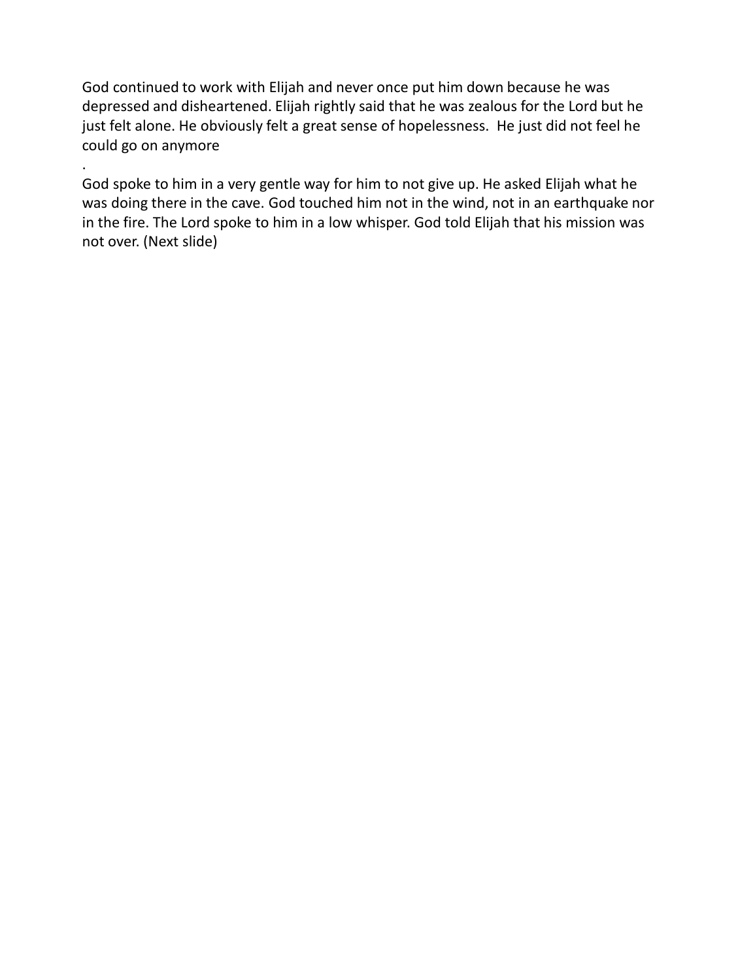God continued to work with Elijah and never once put him down because he was depressed and disheartened. Elijah rightly said that he was zealous for the Lord but he just felt alone. He obviously felt a great sense of hopelessness. He just did not feel he could go on anymore

. God spoke to him in a very gentle way for him to not give up. He asked Elijah what he was doing there in the cave. God touched him not in the wind, not in an earthquake nor in the fire. The Lord spoke to him in a low whisper. God told Elijah that his mission was not over. (Next slide)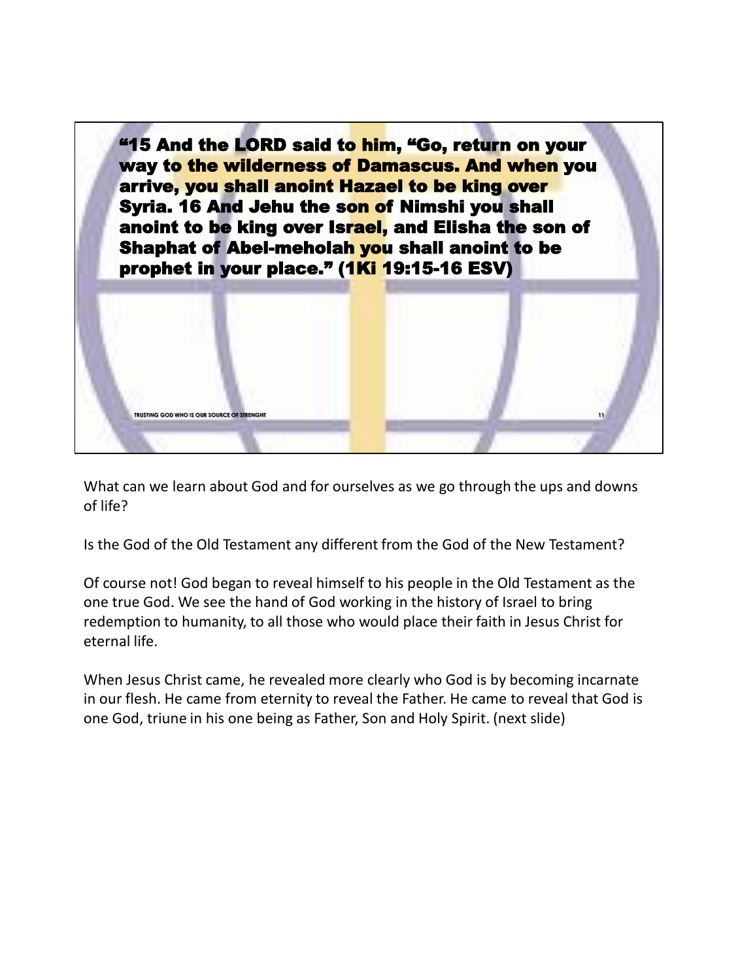

What can we learn about God and for ourselves as we go through the ups and downs of life?

Is the God of the Old Testament any different from the God of the New Testament?

Of course not! God began to reveal himself to his people in the Old Testament as the one true God. We see the hand of God working in the history of Israel to bring redemption to humanity, to all those who would place their faith in Jesus Christ for eternal life.

When Jesus Christ came, he revealed more clearly who God is by becoming incarnate in our flesh. He came from eternity to reveal the Father. He came to reveal that God is one God, triune in his one being as Father, Son and Holy Spirit. (next slide)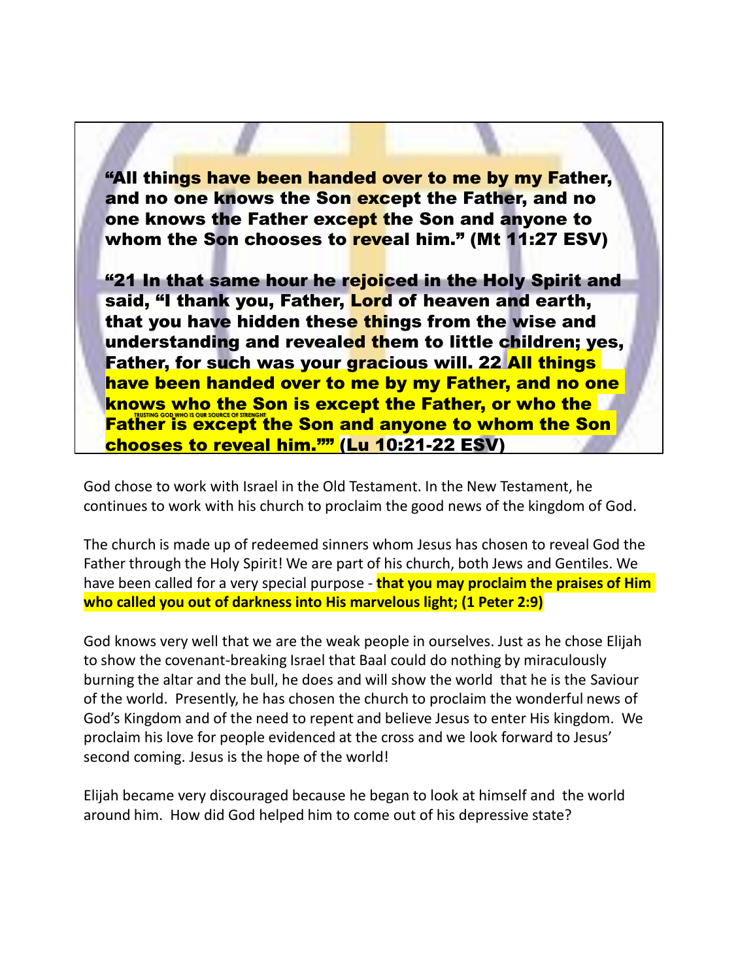"All things have been handed over to me by my Father, and no one knows the Son except the Father, and no one knows the Father except the Son and anyone to whom the Son chooses to reveal him." (Mt 11:27 ESV)

**Father is except the Son and anyone to whom the Son** "21 In that same hour he rejoiced in the Holy Spirit and said, "I thank you, Father, Lord of heaven and earth, that you have hidden these things from the wise and understanding and revealed them to little children; yes, Father, for such was your gracious will. 22 All things have been handed over to me by my Father, and no one knows who the Son is except the Father, or who the chooses to reveal him."" (Lu 10:21-22 ESV)

God chose to work with Israel in the Old Testament. In the New Testament, he continues to work with his church to proclaim the good news of the kingdom of God.

The church is made up of redeemed sinners whom Jesus has chosen to reveal God the Father through the Holy Spirit! We are part of his church, both Jews and Gentiles. We have been called for a very special purpose - **that you may proclaim the praises of Him who called you out of darkness into His marvelous light; (1 Peter 2:9)**

God knows very well that we are the weak people in ourselves. Just as he chose Elijah to show the covenant-breaking Israel that Baal could do nothing by miraculously burning the altar and the bull, he does and will show the world that he is the Saviour of the world. Presently, he has chosen the church to proclaim the wonderful news of God's Kingdom and of the need to repent and believe Jesus to enter His kingdom. We proclaim his love for people evidenced at the cross and we look forward to Jesus' second coming. Jesus is the hope of the world!

Elijah became very discouraged because he began to look at himself and the world around him. How did God helped him to come out of his depressive state?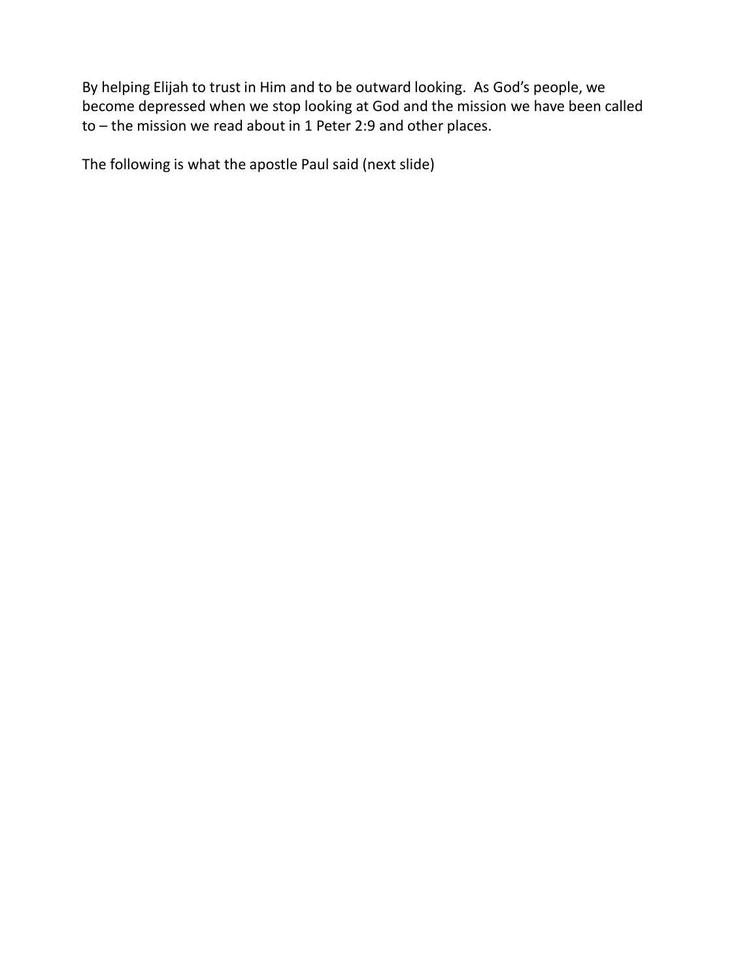By helping Elijah to trust in Him and to be outward looking. As God's people, we become depressed when we stop looking at God and the mission we have been called to – the mission we read about in 1 Peter 2:9 and other places.

The following is what the apostle Paul said (next slide)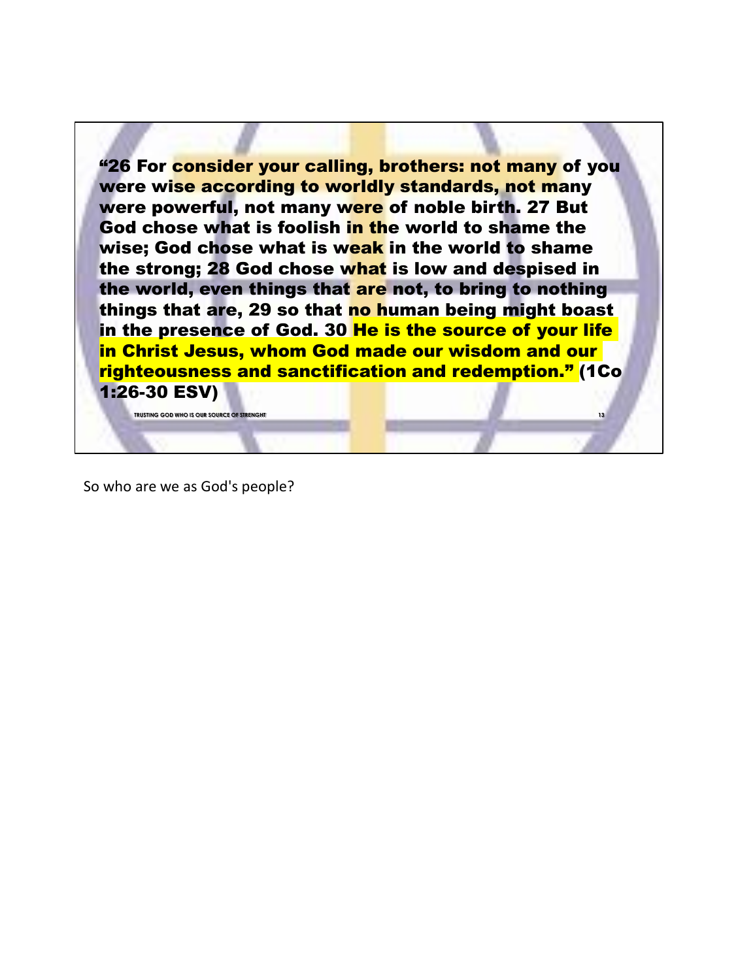"26 For consider your calling, brothers: not many of you were wise according to worldly standards, not many were powerful, not many were of noble birth. 27 But God chose what is foolish in the world to shame the wise: God chose what is weak in the world to shame the strong; 28 God chose what is low and despised in the world, even things that are not, to bring to nothing things that are, 29 so that no human being might boast in the presence of God. 30 He is the source of your life in Christ Jesus, whom God made our wisdom and our righteousness and sanctification and redemption." (1Co 1:26-30 ESV)

**13**

So who are we as God's people?

**TRUSTING GOD WHO IS OUR SOURCE OF STRENGHT**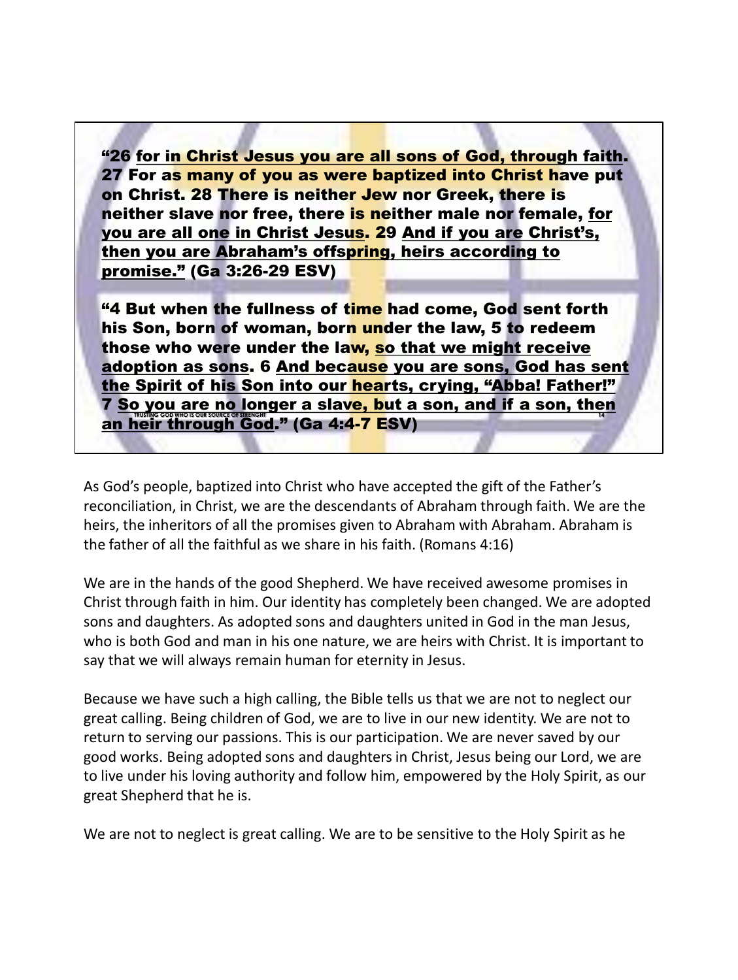"26 for in Christ Jesus you are all sons of God, through faith. 27 For as many of you as were baptized into Christ have put on Christ. 28 There is neither Jew nor Greek, there is neither slave nor free, there is neither male nor female, for you are all one in Christ Jesus. 29 And if you are Christ's, then you are Abraham's offspring, heirs according to promise." (Ga 3:26-29 ESV)

**14 "4 But when the fullness of time had come, God sent forth** his Son, born of woman, born under the law, 5 to redeem those who were under the law, so that we might receive adoption as sons. 6 And because you are sons, God has sent the Spirit of his Son into our hearts, crying, "Abba! Father!" 7 So you are no longer a slave, but a son, and if a son, then an heir through God." (Ga 4:4-<mark>7 E</mark>SV)

As God's people, baptized into Christ who have accepted the gift of the Father's reconciliation, in Christ, we are the descendants of Abraham through faith. We are the heirs, the inheritors of all the promises given to Abraham with Abraham. Abraham is the father of all the faithful as we share in his faith. (Romans 4:16)

We are in the hands of the good Shepherd. We have received awesome promises in Christ through faith in him. Our identity has completely been changed. We are adopted sons and daughters. As adopted sons and daughters united in God in the man Jesus, who is both God and man in his one nature, we are heirs with Christ. It is important to say that we will always remain human for eternity in Jesus.

Because we have such a high calling, the Bible tells us that we are not to neglect our great calling. Being children of God, we are to live in our new identity. We are not to return to serving our passions. This is our participation. We are never saved by our good works. Being adopted sons and daughters in Christ, Jesus being our Lord, we are to live under his loving authority and follow him, empowered by the Holy Spirit, as our great Shepherd that he is.

We are not to neglect is great calling. We are to be sensitive to the Holy Spirit as he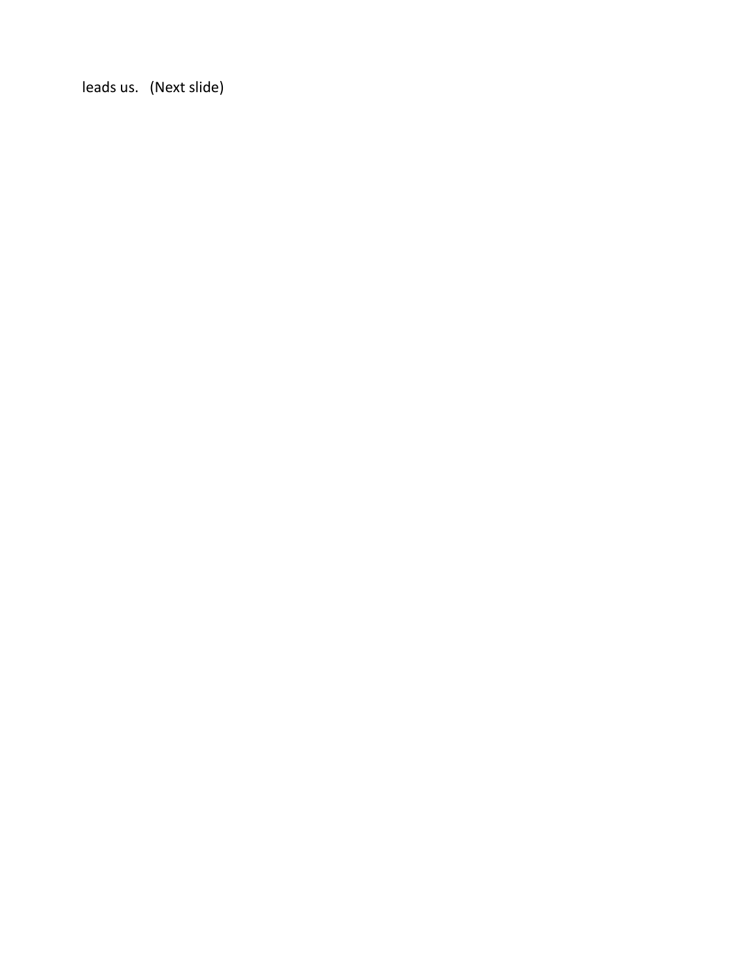leads us. (Next slide)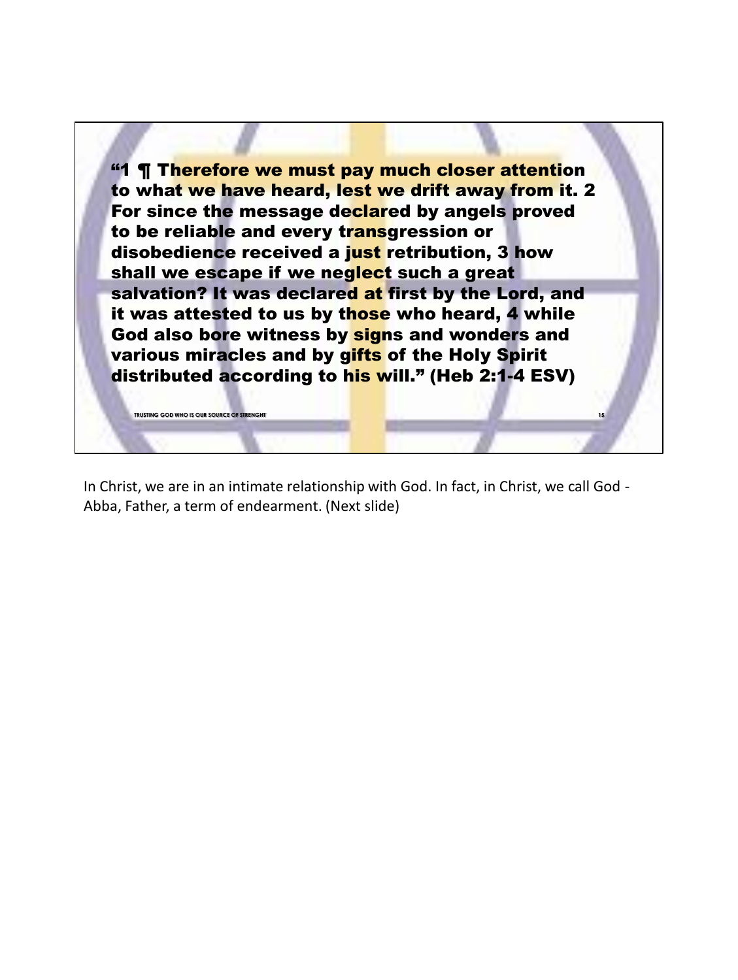"1 ¶ Therefore we must pay much closer attention to what we have heard, lest we drift away from it. 2 For since the message declared by angels proved to be reliable and every transgression or disobedience received a just retribution, 3 how shall we escape if we neglect such a great salvation? It was declared at first by the Lord, and it was attested to us by those who heard, 4 while God also bore witness by signs and wonders and various miracles and by gifts of the Holy Spirit distributed according to his will." (Heb 2:1-4 ESV)

**15**

In Christ, we are in an intimate relationship with God. In fact, in Christ, we call God - Abba, Father, a term of endearment. (Next slide)

**TRUSTING GOD WHO IS OUR SOURCE OF STRENGHT**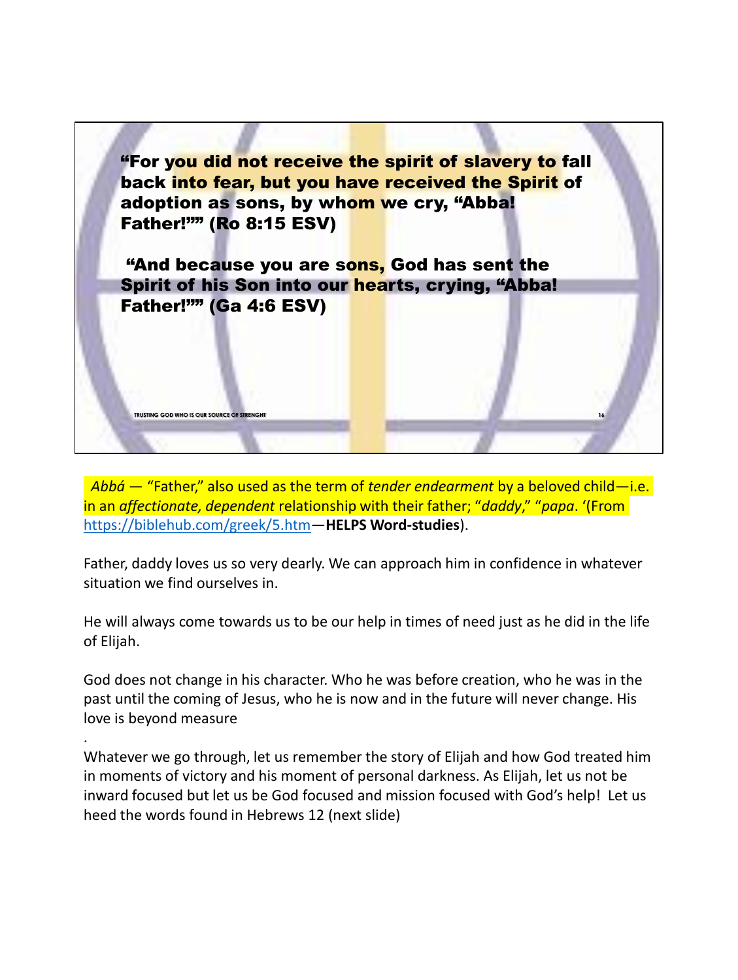

*Abbá* — "Father," also used as the term of *tender endearment* by a beloved child—i.e. in an *affectionate, dependent* relationship with their father; "*daddy*," "*papa*. '(From https://biblehub.com/greek/5.htm—**HELPS Word-studies**).

Father, daddy loves us so very dearly. We can approach him in confidence in whatever situation we find ourselves in.

He will always come towards us to be our help in times of need just as he did in the life of Elijah.

God does not change in his character. Who he was before creation, who he was in the past until the coming of Jesus, who he is now and in the future will never change. His love is beyond measure

.

Whatever we go through, let us remember the story of Elijah and how God treated him in moments of victory and his moment of personal darkness. As Elijah, let us not be inward focused but let us be God focused and mission focused with God's help! Let us heed the words found in Hebrews 12 (next slide)